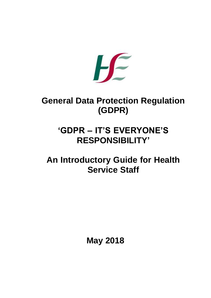

# **General Data Protection Regulation (GDPR)**

# **'GDPR – IT'S EVERYONE'S RESPONSIBILITY'**

# **An Introductory Guide for Health Service Staff**

**May 2018**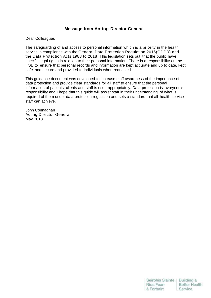# **Message from Acting Director General**

#### Dear Colleagues

The safeguarding of and access to personal information which is a priority in the health service in compliance with the General Data Protection Regulation 2016(GDPR) and the Data Protection Acts 1988 to 2018. This legislation sets out that the public have specific legal rights in relation to their personal information. There is a responsibility on the HSE to ensure that personal records and information are kept accurate and up to date, kept safe and secure and provided to individuals when requested.

This guidance document was developed to increase staff awareness of the importance of data protection and provide clear standards for all staff to ensure that the personal information of patients, clients and staff is used appropriately. Data protection is everyone's responsibility and I hope that this guide will assist staff in their understanding of what is required of them under data protection regulation and sets a standard that all health service staff can achieve.

John Connaghan Acting Director General May 2018

| Seirbhís Sláinte | <b>Building a</b> |
|------------------|-------------------|
| Nios Fearr       | Better Health     |
| á Forbairt       | Service           |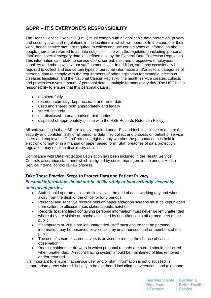# **GDPR – IT'S EVERYONE'S RESPONSIBILITY**

The Health Service Executive (HSE) must comply with all applicable data protection, privacy and security laws and regulations in the locations in which we operate. In the course of their work, health service staff are required to collect and use certain types of information about people (hereafter referred to as data subjects in line with the regulation) including 'personal data' and 'special category data' as defined also by the General Data Protection Regulation. This information can relate to service users, current, past and prospective employees, suppliers and others with whom staff communicate. In addition, staff may occasionally be required to collect and use certain types of personal information and/or special categories of personal data to comply with the requirements of other legislation for example infectious diseases legislation and the National Cancer Registry. The health service creates, collects and processes a vast amount of personal data in multiple formats every day. The HSE has a responsibility to ensure that this personal data is;

- obtained fairly
- recorded correctly, kept accurate and up-to-date
- used and shared both appropriately and legally
- stored securely
- not disclosed to unauthorised third parties
- disposed of appropriately (in line with the HSE Records Retention Policy)

All staff working in the HSE are legally required under EU and Irish legislation to ensure the security and confidentiality of all personal data they collect and process on behalf of service users and employees. Data Protection rights apply whether the personal data is held in electronic format or in a manual or paper based form. Staff breaches of data protection regulation may result in disciplinary action.

Compliance with Data Protection Legislation has been included in the Health Service Controls assurance statement which is signed by senior managers in the annual Health Service internal control review process.

# **Take These Practical Steps to Protect Data and Patient Privacy**

# *Personal information should not be deliberately or inadvertently viewed by uninvolved parties.*

- Staff should operate a clear desk policy at the end of each working day and when away from the desk or the office for long periods.
- Personal and sensitive records held on paper and/or on screens must be kept hidden from callers to offices/nurses stations/public hatches.
- Records (patient files) containing personal information must never be left unattended where they are visible or maybe accessed by unauthorised staff or members of the public.
- If computers or VDUs are left unattended, staff must ensure that no personal information may be observed or accessed by unauthorised staff or members of the public.
- The use of secured screen savers is advised to reduce the chance of casual observation.
- Rooms, cabinets or drawers in which personal records are stored should be locked when unattended. A record tracing system should be maintained of files removed and/or returned.

It is important to ensure that service user and/or staff information is not discussed in inappropriate areas where it is likely to be overheard including conversations and telephone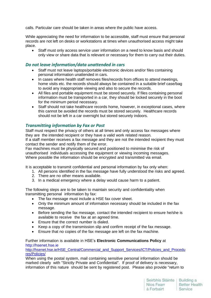calls. Particular care should be taken in areas where the public have access.

While appreciating the need for information to be accessible, staff must ensure that personal records are not left on desks or workstations at times when unauthorised access might take place.

 Staff must only access service user information on a need to know basis and should only view or share data that is relevant or necessary for them to carry out their duties.

### *Do not leave information/data unattended in cars*

- Staff must not leave laptops/portable electronic devices and/or files containing personal information unattended in cars.
- In cases where health staff removes files/records from offices to attend meetings, home visits etc. the records should always be contained in a suitable brief case/bag to avoid any inappropriate viewing and also to secure the records.
- All files and portable equipment must be stored securely. If files containing personal information must be transported in a car, they should be locked securely in the boot for the minimum period necessary.
- Staff should not take healthcare records home, however, in exceptional cases, where this cannot be avoided the records must be stored securely. Healthcare records should not be left in a car overnight but stored securely indoors.

#### *Transmitting information by Fax or Post*

Staff must respect the privacy of others at all times and only access fax messages where they are the intended recipient or they have a valid work related reason. If a staff member receives a fax message and they are not the intended recipient they must contact the sender and notify them of the error.

Fax machines must be physically secured and positioned to minimise the risk of unauthorised individuals accessing the equipment or viewing incoming messages. Where possible the information should be encrypted and transmitted via email.

It is acceptable to transmit confidential and personal information by fax only when:

- 1. All persons identified in the fax message have fully understood the risks and agreed.
- 2. There are no other means available.
- 3. In a medical emergency where a delay would cause harm to a patient.

The following steps are to be taken to maintain security and confidentiality when transmitting personal information by fax:

- The fax message must include a HSE fax cover sheet.
- Only the minimum amount of information necessary should be included in the fax message.
- Before sending the fax message, contact the intended recipient to ensure he/she is available to receive the fax at an agreed time.
- Ensure that the correct number is dialed.
- Keep a copy of the transmission slip and confirm receipt of the fax message.
- Ensure that no copies of the fax message are left on the fax machine.

#### Further information is available in HSE's **Electronic Communications Policy** at [http://hsenet.hse.ie](http://hsenet.hse.ie/)

[http://hsenet.hse.ie/HSE\\_Central/Commercial\\_and\\_Support\\_Services/ICT/Policies\\_and\\_Procedu](http://hsenet.hse.ie/HSE_Central/Commercial_and_Support_Services/ICT/Policies_and_Procedures/Policies/) [res/Policies/](http://hsenet.hse.ie/HSE_Central/Commercial_and_Support_Services/ICT/Policies_and_Procedures/Policies/)

When using the postal system, mail containing sensitive personal information should be marked clearly with "Strictly Private and Confidential". If proof of delivery is necessary, information of this nature should be sent by registered post. Please also provide "return to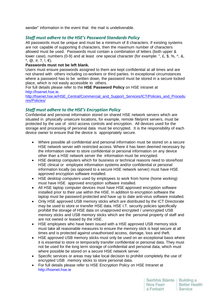sender" information in the event that the mail is undeliverable.

# *Staff must adhere to the HSE's Password Standards Policy*

All passwords must be unique and must be a minimum of 8 characters. If existing systems are not capable of supporting 8 characters, then the maximum number of characters allowed must be used. Passwords must contain a combination of letters (both upper & lower case), numbers (0-9) and at least one special character (for example: ", £, \$, %, ^, &,  $*, \varnothing, \#, ?, !, \in$ ).

#### **Passwords must not be left blank.**

Users must ensure passwords assigned to them are kept confidential at all times and are not shared with others including co-workers or third parties. In exceptional circumstances where a password has to be written down, the password must be stored in a secure locked place, which is not easily accessible to others.

#### For full details please refer to the **HSE Password Policy** on HSE intranet at [http://hsenet.hse.ie.](http://hsenet.hse.ie/)

[http://hsenet.hse.ie/HSE\\_Central/Commercial\\_and\\_Support\\_Services/ICT/Policies\\_and\\_Procedu](http://hsenet.hse.ie/HSE_Central/Commercial_and_Support_Services/ICT/Policies_and_Procedures/Policies/) [res/Policies/](http://hsenet.hse.ie/HSE_Central/Commercial_and_Support_Services/ICT/Policies_and_Procedures/Policies/)

# *Staff must adhere to the HSE's Encryption Policy*

Confidential and personal information stored on shared HSE network servers which are situated in physically unsecure locations, for example, remote file/print servers, must be protected by the use of strict access controls and encryption. All devices used for the storage and processing of personal data must be encrypted. It is the responsibility of each device owner to ensure that the device is appropriately secure.

- Where possible all confidential and personal information must be stored on a secure HSE network server with restricted access. Where it has been deemed necessary by the information owner to store confidential or personal information on any device other than a HSE network server the information must be encrypted.
- HSE desktop computers which for business or technical reasons need to store/host HSE clinical or employee information systems and/or confidential or personal information locally (as opposed to a secure HSE network server) must have HSE approved encryption software installed.
- HSE desktop computers used by employees to work from home (home working) must have HSE approved encryption software installed.
- All HSE laptop computer devices must have HSE approved encryption software installed prior to their use within the HSE. In addition to encryption software the laptop must be password protected and have up to date anti-virus software installed.
- Only HSE approved USB memory sticks which are distributed by the ICT Directorate may be used to store or transfer HSE data. HSE I.T. security policies specifically prohibit the storage of HSE data on unapproved encrypted / unencrypted USB memory sticks and USB memory sticks which are the personal property of staff and are not owned or leased by the HSE.
- HSE employees who have been issued with a HSE approved USB memory stick must take all reasonable measures to ensure the memory stick is kept secure at all times and is protected against unauthorised access, damage, loss and theft.
- HSE approved USB memory sticks must only be used on an exceptional basis where it is essential to store or temporarily transfer confidential or personal data. They must not be used for the long term storage of confidential and personal data, which must where possible be stored on a secure HSE network server.
- Specific services or areas may take local decision to prohibit completely the use of encrypted USB memory sticks to store personal data.
- For full details please refer to HSE Encryption Policy on HSE Intranet at [http://hsenet.hse.ie](http://hsenet.hse.ie/)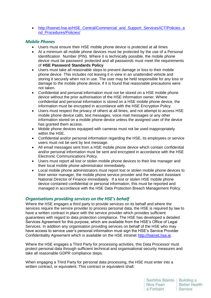• [http://hsenet.hse.ie/HSE\\_Central/Commercial\\_and\\_Support\\_Services/ICT/Policies\\_a](http://hsenet.hse.ie/HSE_Central/Commercial_and_Support_Services/ICT/Policies_and_Procedures/Policies/) [nd\\_Procedures/Policies/](http://hsenet.hse.ie/HSE_Central/Commercial_and_Support_Services/ICT/Policies_and_Procedures/Policies/)

### *Mobile Phones*

- Users must ensure their HSE mobile phone device is protected at all times
- At a minimum all mobile phone devices must be protected by the use of a Personal Identification Number (PIN). Where it is technically possible, the mobile phone device must be password protected and all passwords must meet the requirements of **HSE Password Standards Policy**
- Users must take all reasonable steps to prevent damage or loss to their mobile phone device. This includes not leaving it in view in an unattended vehicle and storing it securely when not in use. The user may be held responsible for any loss or damage to the mobile phone device, if it is found that reasonable precautions were not taken.
- Confidential and personal information must not be stored on a HSE mobile phone device without the prior authorisation of the HSE information owner. Where confidential and personal information is stored on a HSE mobile phone device, the information must be encrypted in accordance with the HSE Encryption Policy.
- Users must respect the privacy of others at all times, and not attempt to access HSE mobile phone device calls, text messages, voice mail messages or any other information stored on a mobile phone device unless the assigned user of the device has granted them access.
- Mobile phone devices equipped with cameras must not be used inappropriately within the HSE.
- Confidential and/or personal information regarding the HSE, its employees or service users must not be sent by text message.
- All email messages sent from a HSE mobile phone device which contain confidential and/or personal information must be sent and encrypted in accordance with the HSE Electronic Communications Policy.
- Users must report all lost or stolen mobile phone devices to their line manager and their local mobile phone administrator immediately.
- Local mobile phone administrators must report lost or stolen mobile phone devices to their senior manager, the mobile phone service provider and the relevant Assistant National Director of Finance immediately. If a lost or stolen HSE mobile phone device contained confidential or personal information, this must be reported and managed in accordance with the HSE Data Protection Breach Management Policy.

## *Organisations providing services on the HSE's behalf*

Where the HSE engages a third party to provide services on its behalf and where the services require the service provider to process personal data, the HSE is required by law to have a written contract in place with the service provider which provides sufficient guarantees with regard to data protection compliance. The HSE has developed a detailed Services Agreement for this purpose, which are available from the HSE's Office of Legal Services. In addition any organisation providing services on behalf of the HSE who may have access to service user's personal information must sign the HSE's Service Provider Confidentiality Agreement which is available on the HSE intranet [http://hsenet.hse.ie.](http://hsenet.hse.ie/)

Where the HSE engages a Third Party for processing activities, this Data Processor must protect personal data through sufficient technical and organisational security measures and take all reasonable GDPR compliance steps.

When engaging a Third Party for personal data processing, the HSE must enter into a written contract, or equivalent. This contract or equivalent shall: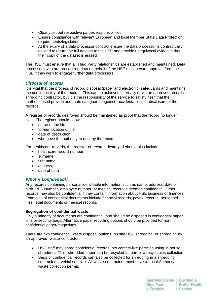- Clearly set out respective parties responsibilities
- Ensure compliance with relevant European and local Member State Data Protection requirements/legislation.
- At the expiry of a data processor contract ensure the data processor is contractually obliged to return the full dataset to the HSE and provide unequivocal evidence that their copy of the dataset is erased.

The HSE must ensure that all Third Party relationships are established and maintained. Data processors who are processing data on behalf of the HSE must secure approval from the HSE if they wish to engage further data processors

# *Disposal of records*

It is vital that the process of record disposal (paper and electronic) safeguards and maintains the confidentiality of the records. This can be achieved internally or via an approved records shredding contractor, but it is the responsibility of the service to satisfy itself that the methods used provide adequate safeguards against accidental loss or disclosure of the records.

A register of records destroyed should be maintained as proof that the record no longer exist. The register should show:

- name of the file
- former location of file
- date of destruction
- who gave the authority to destroy the records.

For healthcare records, the register of records destroyed should also include:

- healthcare record number;
- surname:
- first name:
- address:
- date of birth

## *What is Confidential?*

Any records containing personal identifiable information such as name, address, date of birth, PPS Number, employee number, or medical record is deemed confidential. Other records may also be confidential if they contain information about HSE business or finances. Examples of confidential documents include financial records, payroll records, personnel files, legal documents or medical records.

#### **Segregation of confidential waste**

Only a minority of documents are confidential, and should be disposed in confidential paper bins or security bags. Alternative paper recycling options should be provided for nonconfidential paper/magazines.

There are two confidential waste disposal options: on site HSE shredding, or shredding by an approved waste contractor.

- HSE staff may shred confidential records into confetti-like particles using in-house shredders. This shredded paper can be recycled as part of a recyclables collection.
- Bags of confidential records can also be collected for shredding in a shredding contractor's vehicle on-site. All waste contractors must have a Local Authority waste collection permit.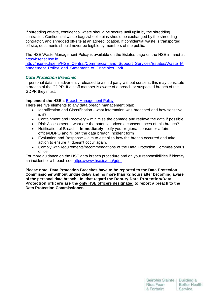If shredding off-site, confidential waste should be secure until uplift by the shredding contractor. Confidential waste bags/wheelie bins should be exchanged by the shredding contractor, and shredded off-site at an agreed location. If confidential waste is transported off site, documents should never be legible by members of the public.

The HSE Waste Management Policy is available on the Estates page on the HSE intranet at [http://hsenet.hse.ie.](http://hsenet.hse.ie/)

[http://hsenet.hse.ie/HSE\\_Central/Commercial\\_and\\_Support\\_Services/Estates/Waste\\_M](http://hsenet.hse.ie/HSE_Central/Commercial_and_Support_Services/Estates/Waste_Management_Policy_and_Statement_of_Principles_.pdf) anagement Policy and Statement of Principles .pdf

#### *Data Protection Breaches*

If personal data is inadvertently released to a third party without consent, this may constitute a breach of the GDPR. If a staff member is aware of a breach or suspected breach of the GDPR they must;

#### **Implement the HSE's** [Breach Management Policy](https://www.hse.ie/eng/services/publications/pp/ict/data-protection-breach-management-policy.pdf)

There are five elements to any data breach management plan:

- Identification and Classification what information was breached and how sensitive is it?
- Containment and Recovery minimise the damage and retrieve the data if possible.
- Risk Assessment what are the potential adverse consequences of this breach?
- Notification of Breach **Immediately** notify your regional consumer affairs office/DDPO and fill out the data breach incident form
- Evaluation and Response aim to establish how the breach occurred and take action to ensure it doesn't occur again.
- Comply with requirements/recommendations of the Data Protection Commissioner's office.

For more guidance on the HSE data breach procedure and on your responsibilities if identify an incident or a breach see<https://www.hse.ie/eng/gdpr>

**Please note; Data Protection Breaches have to be reported to the Data Protection Commissioner without undue delay and no more than 72 hours after becoming aware of the personal data breach. In that regard the Deputy Data Protection/Data Protection officers are the only HSE officers designated to report a breach to the Data Protection Commissioner.**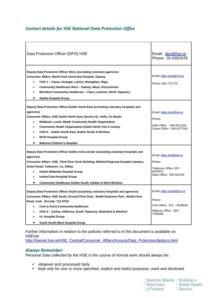# *Contact details for HSE National Data Protection Office*

| Data Protection Officer (DPO) HSE                                                                                                                                                                                                                                                                                                                                                                                                                                                                        | Email: dpo@hse.ie<br>Phone: 01-6352478                                                                 |
|----------------------------------------------------------------------------------------------------------------------------------------------------------------------------------------------------------------------------------------------------------------------------------------------------------------------------------------------------------------------------------------------------------------------------------------------------------------------------------------------------------|--------------------------------------------------------------------------------------------------------|
| Deputy Data Protection Officer West, (excluding voluntary agencies)<br>Consumer Affairs, Merlin Park University Hospital, Galway.<br>CHO 1 – Cavan, Donegal, Leitrim, Monaghan, Sligo<br>Community Healthcare West - Galway, Mayo, Roscommon<br>Mid-West Community Healthcare - Clare, Limerick, North Tipperary.<br>Saolta Hospital Group                                                                                                                                                               | Email: ddpo.west@hse.ie<br>Phone: 091-775 373                                                          |
| Deputy Data Protection Officer Dublin North-East (excluding voluntary hospitals and<br>agencies)<br>Consumer Affairs, HSE Dublin North East, Bective St., Kells, Co Meath.<br>Midlands, Louth, Meath Community Health Organisation<br><b>Community Health Organisation Dublin North City &amp; County</b><br>CHO 6 - Dublin South East, Dublin South & Wicklow<br><b>RCSI Hospital Group</b><br><b>National Children's Hospital</b>                                                                      | Email: ddpo.dne@hse.ie<br>Phone:<br>Kells Office: 046-9251265<br>Cavan Office: 049-4377343             |
| Deputy Data Protection Officer Dublin mid-Leinster (excluding voluntary hospitals and<br>Email: ddpo.dml@hse.ie<br>agencies)<br>Consumer Affairs, HSE, Third Floor Scott Building, Midland Regional Hospital Campus,<br>Phone:<br>Arden Road, Tullamore, Co. Offaly.<br>Tullamore Office: 057-<br>9357876<br><b>Dublin Midlands Hospital Group</b><br>Naas Office: 045-920105<br><b>Ireland East Hospital Group</b><br><b>Community Healthcare Dublin South, Kildare &amp; West Wicklow</b><br>$\bullet$ |                                                                                                        |
| Deputy Data Protection Officer South (excluding voluntary hospitals and agencies)<br>Consumer Affairs, HSE South, Ground Floor East, Model Business Park, Model Farm<br>Road, Cork. Eircode: T12 HT02<br><b>Cork &amp; Kerry Community Healthcare</b><br>CHO 5 – Carlow, Kilkenny, South Tipperary, Waterford & Wexford<br><b>UL Hospital Group</b><br>South South-West Hospital Group<br>$\bullet$                                                                                                      | Email: ddpo.south@hse.ie<br>Phone:<br>Cork Office: 021 - 4928538<br>Kilkenny Office: 056 -<br>7785598. |

## Further information in relation to the policies referred to in this document is available on HSEnet

[http://hsenet.hse.ie/HSE\\_Central/Consumer\\_Affairs/Access/Data\\_Protection/dpdocs.html](http://hsenet.hse.ie/HSE_Central/Consumer_Affairs/Access/Data_Protection/dpdocs.html)

## *Always Remember*

Personal Data collected by the HSE is the course of normal work should always be:

- $\checkmark$  obtained and processed fairly
- $\checkmark$  kept only for one or more specified, explicit and lawful purposes used and disclosed